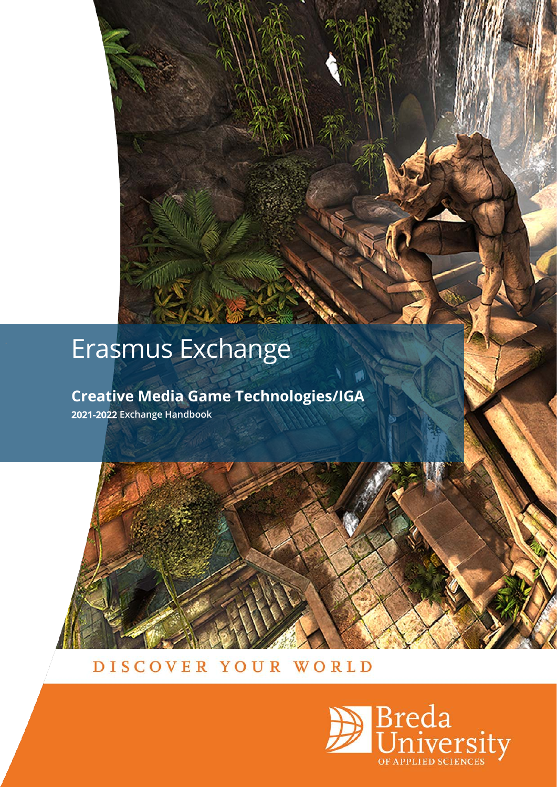# Erasmus Exchange

### **Creative Media Game Technologies/IGA**

**2021-2022 Exchange Handbook** 



DISCOVER YOUR WORLD

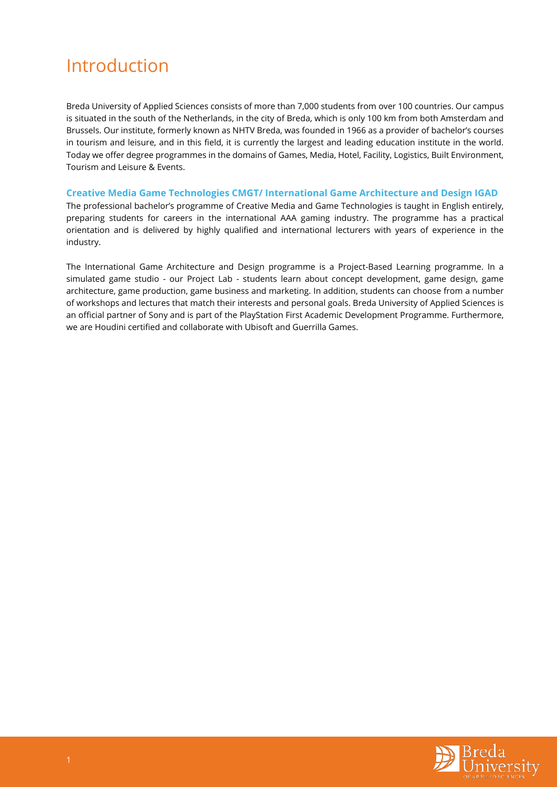### <span id="page-1-0"></span>Introduction

Breda University of Applied Sciences consists of more than 7,000 students from over 100 countries. Our campus is situated in the south of the Netherlands, in the city of Breda, which is only 100 km from both Amsterdam and Brussels. Our institute, formerly known as NHTV Breda, was founded in 1966 as a provider of bachelor's courses in tourism and leisure, and in this field, it is currently the largest and leading education institute in the world. Today we offer degree programmes in the domains of Games, Media, Hotel, Facility, Logistics, Built Environment, Tourism and Leisure & Events.

#### <span id="page-1-1"></span>**Creative Media Game Technologies CMGT/ International Game Architecture and Design IGAD**

The professional bachelor's programme of Creative Media and Game Technologies is taught in English entirely, preparing students for careers in the international AAA gaming industry. The programme has a practical orientation and is delivered by highly qualified and international lecturers with years of experience in the industry.

The International Game Architecture and Design programme is a Project-Based Learning programme. In a simulated game studio - our Project Lab - students learn about concept development, game design, game architecture, game production, game business and marketing. In addition, students can choose from a number of workshops and lectures that match their interests and personal goals. Breda University of Applied Sciences is an official partner of Sony and is part of the PlayStation First Academic Development Programme. Furthermore, we are Houdini certified and collaborate with Ubisoft and Guerrilla Games.

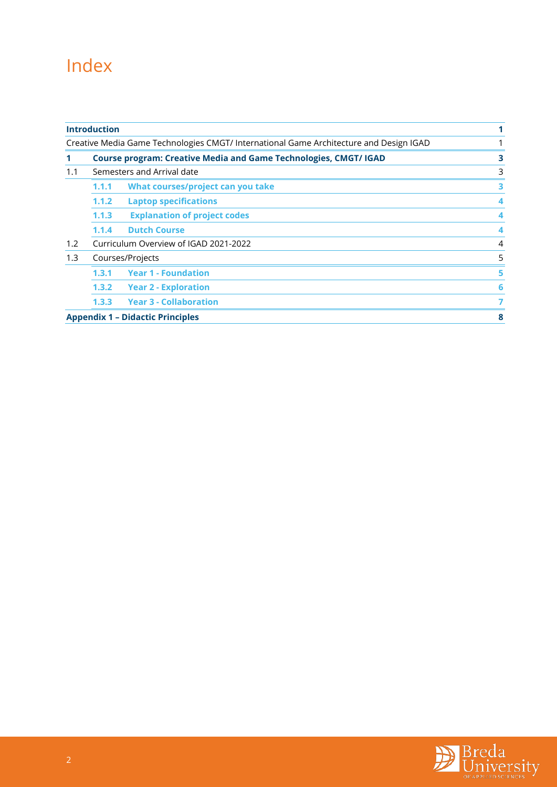## Index

|                                                                                        | <b>Introduction</b>                                                     |                                         | 1 |  |  |
|----------------------------------------------------------------------------------------|-------------------------------------------------------------------------|-----------------------------------------|---|--|--|
| Creative Media Game Technologies CMGT/ International Game Architecture and Design IGAD |                                                                         |                                         |   |  |  |
|                                                                                        | <b>Course program: Creative Media and Game Technologies, CMGT/ IGAD</b> |                                         |   |  |  |
| 1.1                                                                                    | Semesters and Arrival date                                              |                                         |   |  |  |
|                                                                                        | 1.1.1                                                                   | What courses/project can you take       | 3 |  |  |
|                                                                                        | 1.1.2                                                                   | <b>Laptop specifications</b>            | 4 |  |  |
|                                                                                        | 1.1.3                                                                   | <b>Explanation of project codes</b>     | 4 |  |  |
|                                                                                        | 1.1.4                                                                   | <b>Dutch Course</b>                     | 4 |  |  |
| 1.2                                                                                    | Curriculum Overview of IGAD 2021-2022                                   |                                         | 4 |  |  |
| 1.3                                                                                    | Courses/Projects                                                        |                                         | 5 |  |  |
|                                                                                        | 1.3.1                                                                   | <b>Year 1 - Foundation</b>              | 5 |  |  |
|                                                                                        | 1.3.2                                                                   | <b>Year 2 - Exploration</b>             | 6 |  |  |
|                                                                                        | 1,3,3                                                                   | <b>Year 3 - Collaboration</b>           |   |  |  |
|                                                                                        |                                                                         | <b>Appendix 1 - Didactic Principles</b> | 8 |  |  |

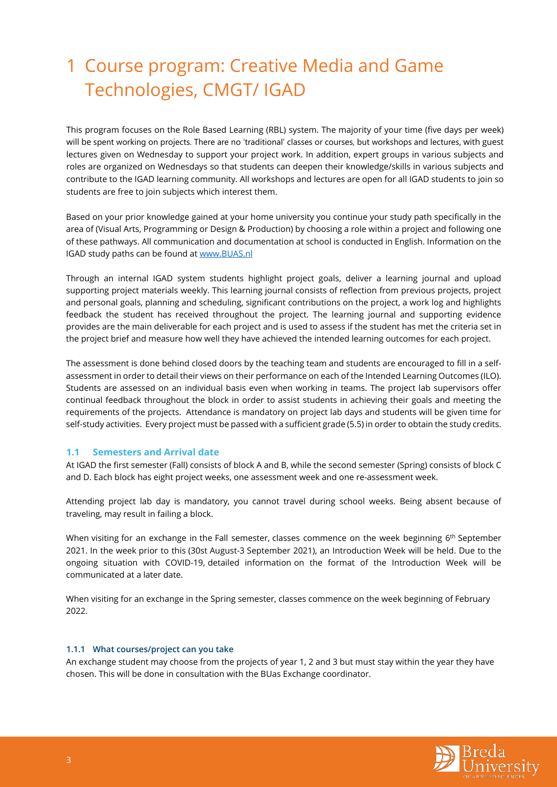# <span id="page-3-0"></span>1 Course program: Creative Media and Game Technologies, CMGT/ IGAD

This program focuses on the Role Based Learning (RBL) system. The majority of your time (five days per week) will be spent working on projects. There are no 'traditional' classes or courses, but workshops and lectures, with guest lectures given on Wednesday to support your project work. In addition, expert groups in various subjects and roles are organized on Wednesdays so that students can deepen their knowledge/skills in various subjects and contribute to the IGAD learning community. All workshops and lectures are open for all IGAD students to join so students are free to join subjects which interest them.

Based on your prior knowledge gained at your home university you continue your study path specifically in the area of (Visual Arts, Programming or Design & Production) by choosing a role within a project and following one of these pathways. All communication and documentation at school is conducted in English. Information on the IGAD study paths can be found a[t www.BUAS.nl](http://www.buas.nl/) 

Through an internal IGAD system students highlight project goals, deliver a learning journal and upload supporting project materials weekly. This learning journal consists of reflection from previous projects, project and personal goals, planning and scheduling, significant contributions on the project, a work log and highlights feedback the student has received throughout the project. The learning journal and supporting evidence provides are the main deliverable for each project and is used to assess if the student has met the criteria set in the project brief and measure how well they have achieved the intended learning outcomes for each project.

The assessment is done behind closed doors by the teaching team and students are encouraged to fill in a selfassessment in order to detail their views on their performance on each of the Intended Learning Outcomes (ILO). Students are assessed on an individual basis even when working in teams. The project lab supervisors offer continual feedback throughout the block in order to assist students in achieving their goals and meeting the requirements of the projects. Attendance is mandatory on project lab days and students will be given time for self-study activities. Every project must be passed with a sufficient grade (5.5) in order to obtain the study credits.

#### <span id="page-3-1"></span>**1.1 Semesters and Arrival date**

At IGAD the first semester (Fall) consists of block A and B, while the second semester (Spring) consists of block C and D. Each block has eight project weeks, one assessment week and one re-assessment week.

Attending project lab day is mandatory, you cannot travel during school weeks. Being absent because of traveling, may result in failing a block.

When visiting for an exchange in the Fall semester, classes commence on the week beginning 6<sup>th</sup> September 2021. In the week prior to this (30st August-3 September 2021), an Introduction Week will be held. Due to the ongoing situation with COVID-19, detailed information on the format of the Introduction Week will be communicated at a later date.

When visiting for an exchange in the Spring semester, classes commence on the week beginning of February 2022.

#### <span id="page-3-2"></span>**1.1.1 What courses/project can you take**

An exchange student may choose from the projects of year 1, 2 and 3 but must stay within the year they have chosen. This will be done in consultation with the BUas Exchange coordinator.

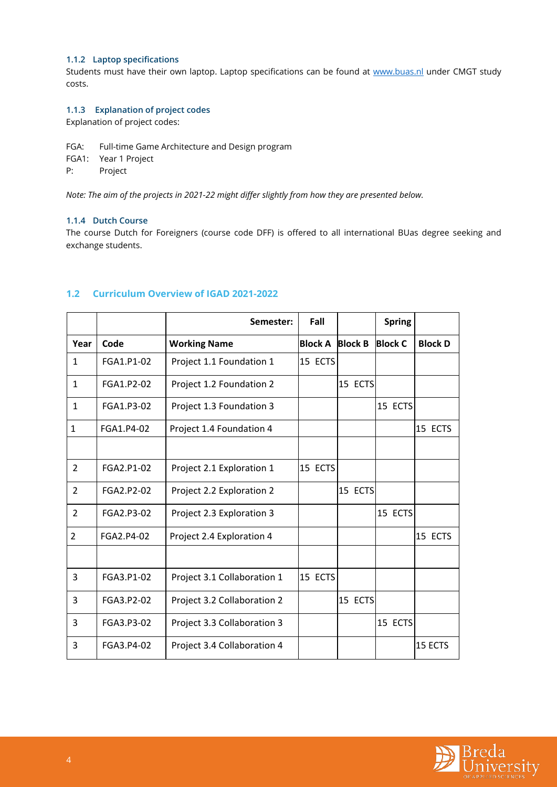#### <span id="page-4-0"></span>**1.1.2 Laptop specifications**

Students must have their own laptop. Laptop specifications can be fou[nd at](http://www.buas.nl/) [www.buas.nl](http://www.buas.nl/) [u](http://www.buas.nl/)nder CMGT study costs.

#### <span id="page-4-1"></span>**1.1.3 Explanation of project codes**

Explanation of project codes:

- FGA: Full-time Game Architecture and Design program
- FGA1: Year 1 Project
- P: Project

*Note: The aim of the projects in 2021-22 might differ slightly from how they are presented below.* 

#### <span id="page-4-2"></span>**1.1.4 Dutch Course**

The course Dutch for Foreigners (course code DFF) is offered to all international BUas degree seeking and exchange students.

|                |            | Semester:                   | Fall           |                | <b>Spring</b>  |                |
|----------------|------------|-----------------------------|----------------|----------------|----------------|----------------|
| Year           | Code       | <b>Working Name</b>         | <b>Block A</b> | <b>Block B</b> | <b>Block C</b> | <b>Block D</b> |
| 1              | FGA1.P1-02 | Project 1.1 Foundation 1    | 15 ECTS        |                |                |                |
| $\mathbf{1}$   | FGA1.P2-02 | Project 1.2 Foundation 2    |                | 15 ECTS        |                |                |
| $\mathbf{1}$   | FGA1.P3-02 | Project 1.3 Foundation 3    |                |                | 15 ECTS        |                |
| $\mathbf{1}$   | FGA1.P4-02 | Project 1.4 Foundation 4    |                |                |                | 15 ECTS        |
|                |            |                             |                |                |                |                |
| $\overline{2}$ | FGA2.P1-02 | Project 2.1 Exploration 1   | 15 ECTS        |                |                |                |
| $\overline{2}$ | FGA2.P2-02 | Project 2.2 Exploration 2   |                | 15 ECTS        |                |                |
| $\overline{2}$ | FGA2.P3-02 | Project 2.3 Exploration 3   |                |                | 15 ECTS        |                |
| 2              | FGA2.P4-02 | Project 2.4 Exploration 4   |                |                |                | 15 ECTS        |
|                |            |                             |                |                |                |                |
| 3              | FGA3.P1-02 | Project 3.1 Collaboration 1 | 15 ECTS        |                |                |                |
| 3              | FGA3.P2-02 | Project 3.2 Collaboration 2 |                | 15 ECTS        |                |                |
| 3              | FGA3.P3-02 | Project 3.3 Collaboration 3 |                |                | 15 ECTS        |                |
| 3              | FGA3.P4-02 | Project 3.4 Collaboration 4 |                |                |                | 15 ECTS        |

#### <span id="page-4-3"></span>**1.2 Curriculum Overview of IGAD 2021-2022**

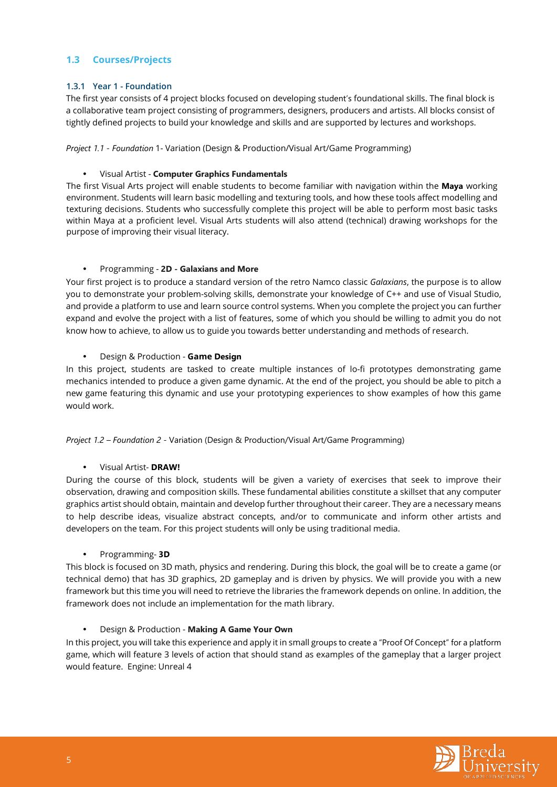#### <span id="page-5-0"></span>**1.3 Courses/Projects**

#### <span id="page-5-1"></span>**1.3.1 Year 1 - Foundation**

The first year consists of 4 project blocks focused on developing student's foundational skills. The final block is a collaborative team project consisting of programmers, designers, producers and artists. All blocks consist of tightly defined projects to build your knowledge and skills and are supported by lectures and workshops.

*Project 1.1 - Foundation* 1- Variation (Design & Production/Visual Art/Game Programming)

#### • Visual Artist - **Computer Graphics Fundamentals**

The first Visual Arts project will enable students to become familiar with navigation within the **Maya** working environment. Students will learn basic modelling and texturing tools, and how these tools affect modelling and texturing decisions. Students who successfully complete this project will be able to perform most basic tasks within Maya at a proficient level. Visual Arts students will also attend (technical) drawing workshops for the purpose of improving their visual literacy.

#### • Programming - **2D - Galaxians and More**

Your first project is to produce a standard version of the retro Namco classic *Galaxians*, the purpose is to allow you to demonstrate your problem-solving skills, demonstrate your knowledge of C++ and use of Visual Studio, and provide a platform to use and learn source control systems. When you complete the project you can further expand and evolve the project with a list of features, some of which you should be willing to admit you do not know how to achieve, to allow us to guide you towards better understanding and methods of research.

#### • Design & Production - **Game Design**

In this project, students are tasked to create multiple instances of lo-fi prototypes demonstrating game mechanics intended to produce a given game dynamic. At the end of the project, you should be able to pitch a new game featuring this dynamic and use your prototyping experiences to show examples of how this game would work.

*Project 1.2 – Foundation 2 -* Variation (Design & Production/Visual Art/Game Programming)

#### • Visual Artist- **DRAW!**

During the course of this block, students will be given a variety of exercises that seek to improve their observation, drawing and composition skills. These fundamental abilities constitute a skillset that any computer graphics artist should obtain, maintain and develop further throughout their career. They are a necessary means to help describe ideas, visualize abstract concepts, and/or to communicate and inform other artists and developers on the team. For this project students will only be using traditional media.

#### • Programming- **3D**

This block is focused on 3D math, physics and rendering. During this block, the goal will be to create a game (or technical demo) that has 3D graphics, 2D gameplay and is driven by physics. We will provide you with a new framework but this time you will need to retrieve the libraries the framework depends on online. In addition, the framework does not include an implementation for the math library.

• Design & Production - **Making A Game Your Own**

In this project, you will take this experience and apply it in small groups to create a "Proof Of Concept" for a platform game, which will feature 3 levels of action that should stand as examples of the gameplay that a larger project would feature. Engine: Unreal 4

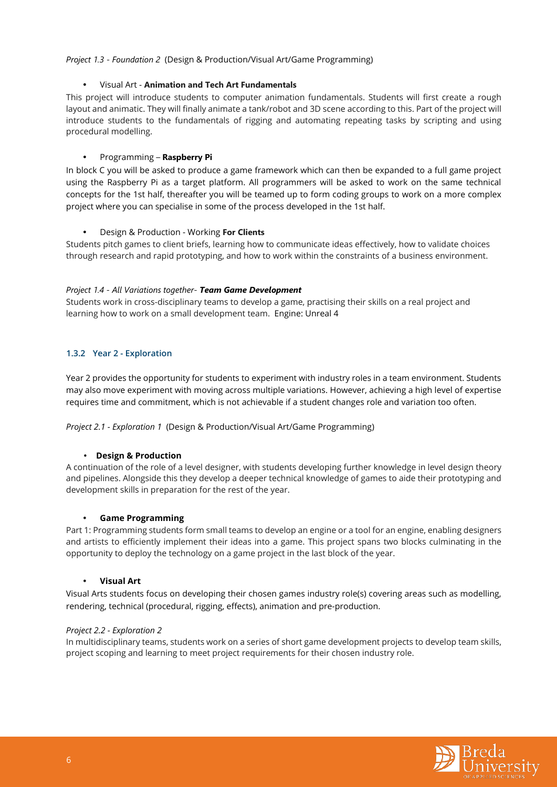#### *Project 1.3 - Foundation 2* (Design & Production/Visual Art/Game Programming)

#### • Visual Art - **Animation and Tech Art Fundamentals**

This project will introduce students to computer animation fundamentals. Students will first create a rough layout and animatic. They will finally animate a tank/robot and 3D scene according to this. Part of the project will introduce students to the fundamentals of rigging and automating repeating tasks by scripting and using procedural modelling.

#### • Programming – **Raspberry Pi**

In block C you will be asked to produce a game framework which can then be expanded to a full game project using the Raspberry Pi as a target platform. All programmers will be asked to work on the same technical concepts for the 1st half, thereafter you will be teamed up to form coding groups to work on a more complex project where you can specialise in some of the process developed in the 1st half.

#### • Design & Production - Working **For Clients**

Students pitch games to client briefs, learning how to communicate ideas effectively, how to validate choices through research and rapid prototyping, and how to work within the constraints of a business environment.

#### *Project 1.4 - All Variations together- Team Game Development*

Students work in cross-disciplinary teams to develop a game, practising their skills on a real project and learning how to work on a small development team. Engine: Unreal 4

#### <span id="page-6-0"></span>**1.3.2 Year 2 - Exploration**

Year 2 provides the opportunity for students to experiment with industry roles in a team environment. Students may also move experiment with moving across multiple variations. However, achieving a high level of expertise requires time and commitment, which is not achievable if a student changes role and variation too often.

*Project 2.1 - Exploration 1* (Design & Production/Visual Art/Game Programming)

#### • **Design & Production**

A continuation of the role of a level designer, with students developing further knowledge in level design theory and pipelines. Alongside this they develop a deeper technical knowledge of games to aide their prototyping and development skills in preparation for the rest of the year.

#### • **Game Programming**

Part 1: Programming students form small teams to develop an engine or a tool for an engine, enabling designers and artists to efficiently implement their ideas into a game. This project spans two blocks culminating in the opportunity to deploy the technology on a game project in the last block of the year.

#### • **Visual Art**

Visual Arts students focus on developing their chosen games industry role(s) covering areas such as modelling, rendering, technical (procedural, rigging, effects), animation and pre-production.

#### *Project 2.2 - Exploration 2*

In multidisciplinary teams, students work on a series of short game development projects to develop team skills, project scoping and learning to meet project requirements for their chosen industry role.

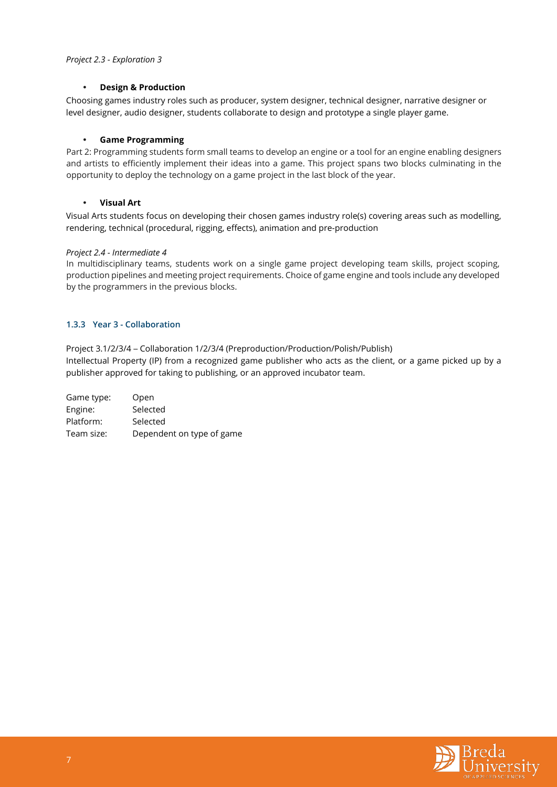#### *Project 2.3 - Exploration 3*

#### • **Design & Production**

Choosing games industry roles such as producer, system designer, technical designer, narrative designer or level designer, audio designer, students collaborate to design and prototype a single player game.

#### • **Game Programming**

Part 2: Programming students form small teams to develop an engine or a tool for an engine enabling designers and artists to efficiently implement their ideas into a game. This project spans two blocks culminating in the opportunity to deploy the technology on a game project in the last block of the year.

#### • **Visual Art**

Visual Arts students focus on developing their chosen games industry role(s) covering areas such as modelling, rendering, technical (procedural, rigging, effects), animation and pre-production

#### *Project 2.4 - Intermediate 4*

In multidisciplinary teams, students work on a single game project developing team skills, project scoping, production pipelines and meeting project requirements. Choice of game engine and tools include any developed by the programmers in the previous blocks.

#### <span id="page-7-0"></span>**1.3.3 Year 3 - Collaboration**

Project 3.1/2/3/4 – Collaboration 1/2/3/4 (Preproduction/Production/Polish/Publish)

Intellectual Property (IP) from a recognized game publisher who acts as the client, or a game picked up by a publisher approved for taking to publishing, or an approved incubator team.

| Game type: | Open                      |
|------------|---------------------------|
| Engine:    | Selected                  |
| Platform:  | Selected                  |
| Team size: | Dependent on type of game |

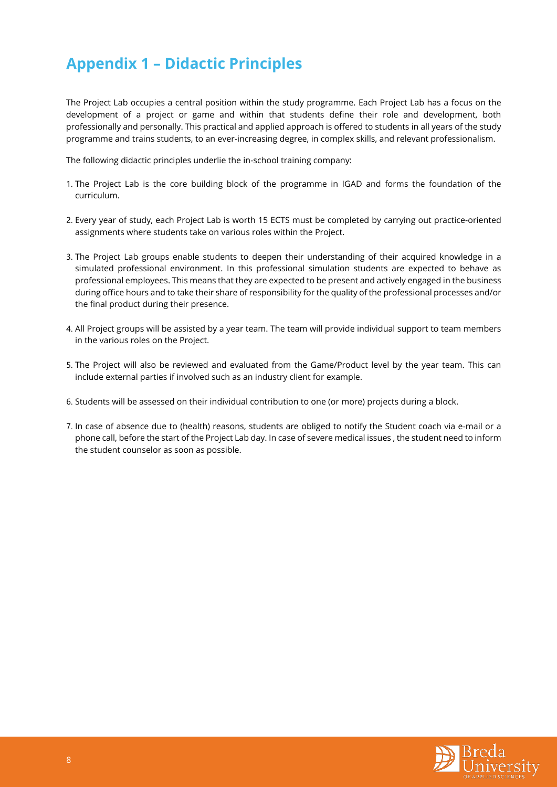### <span id="page-8-0"></span>**Appendix 1 – Didactic Principles**

The Project Lab occupies a central position within the study programme. Each Project Lab has a focus on the development of a project or game and within that students define their role and development, both professionally and personally. This practical and applied approach is offered to students in all years of the study programme and trains students, to an ever-increasing degree, in complex skills, and relevant professionalism.

The following didactic principles underlie the in-school training company:

- 1. The Project Lab is the core building block of the programme in IGAD and forms the foundation of the curriculum.
- 2. Every year of study, each Project Lab is worth 15 ECTS must be completed by carrying out practice-oriented assignments where students take on various roles within the Project.
- 3. The Project Lab groups enable students to deepen their understanding of their acquired knowledge in a simulated professional environment. In this professional simulation students are expected to behave as professional employees. This means that they are expected to be present and actively engaged in the business during office hours and to take their share of responsibility for the quality of the professional processes and/or the final product during their presence.
- 4. All Project groups will be assisted by a year team. The team will provide individual support to team members in the various roles on the Project.
- 5. The Project will also be reviewed and evaluated from the Game/Product level by the year team. This can include external parties if involved such as an industry client for example.
- 6. Students will be assessed on their individual contribution to one (or more) projects during a block.
- 7. In case of absence due to (health) reasons, students are obliged to notify the Student coach via e-mail or a phone call, before the start of the Project Lab day. In case of severe medical issues , the student need to inform the student counselor as soon as possible.